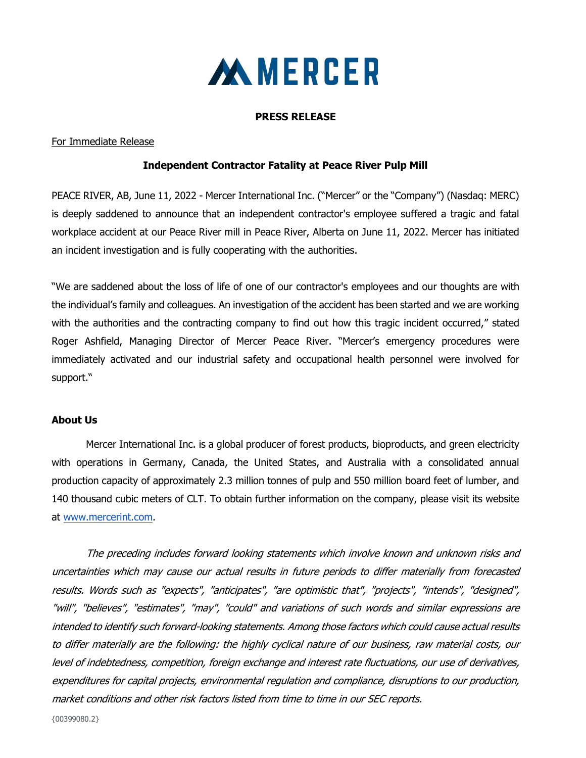

#### PRESS RELEASE

### For Immediate Release

### Independent Contractor Fatality at Peace River Pulp Mill

PEACE RIVER, AB, June 11, 2022 - Mercer International Inc. ("Mercer" or the "Company") (Nasdaq: MERC) is deeply saddened to announce that an independent contractor's employee suffered a tragic and fatal workplace accident at our Peace River mill in Peace River, Alberta on June 11, 2022. Mercer has initiated an incident investigation and is fully cooperating with the authorities.

"We are saddened about the loss of life of one of our contractor's employees and our thoughts are with the individual's family and colleagues. An investigation of the accident has been started and we are working with the authorities and the contracting company to find out how this tragic incident occurred," stated Roger Ashfield, Managing Director of Mercer Peace River. "Mercer's emergency procedures were immediately activated and our industrial safety and occupational health personnel were involved for support."

### About Us

Mercer International Inc. is a global producer of forest products, bioproducts, and green electricity with operations in Germany, Canada, the United States, and Australia with a consolidated annual production capacity of approximately 2.3 million tonnes of pulp and 550 million board feet of lumber, and 140 thousand cubic meters of CLT. To obtain further information on the company, please visit its website at www.mercerint.com.

The preceding includes forward looking statements which involve known and unknown risks and uncertainties which may cause our actual results in future periods to differ materially from forecasted results. Words such as "expects", "anticipates", "are optimistic that", "projects", "intends", "designed", "will", "believes", "estimates", "may", "could" and variations of such words and similar expressions are intended to identify such forward‐looking statements. Among those factors which could cause actual results to differ materially are the following: the highly cyclical nature of our business, raw material costs, our level of indebtedness, competition, foreign exchange and interest rate fluctuations, our use of derivatives, expenditures for capital projects, environmental regulation and compliance, disruptions to our production, market conditions and other risk factors listed from time to time in our SEC reports.